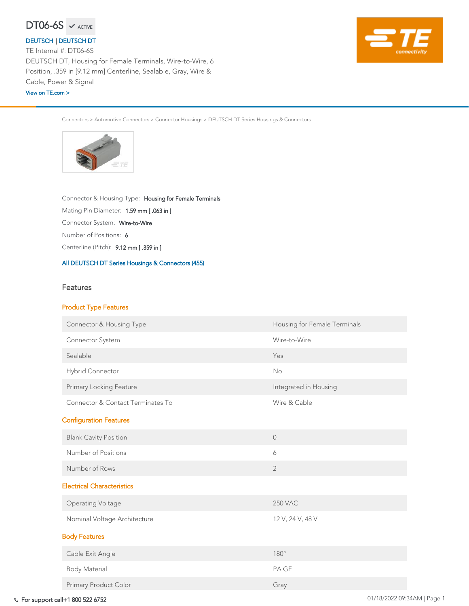For support call+1 800 522 6752 01/18/2022 09:34AM | Page 1

Connectors > Automotive Connectors > Connector Housings > DEUTSCH DT Series Housings & Connectors



Centerline (Pitch): 9.12 mm [ .359 in ]

Number of Positions: <sup>6</sup>

Connector System: Wire-to-Wire

Connector & Housing Type: Housing for Female Terminals

Mating Pin Diameter: 1.59 mm [ .063 in ]

#### [All DEUTSCH DT Series Housings & Connectors \(455\)](https://www.te.com/usa-en/product-DT06-6S.html)

### Features

### Product Type Features



Connector System Wire-to-Wire

Connector & Housing Type **Housing Type** Housing for Female Terminals

| Sealable                          | Yes                   |
|-----------------------------------|-----------------------|
| <b>Hybrid Connector</b>           | <b>No</b>             |
| <b>Primary Locking Feature</b>    | Integrated in Housing |
| Connector & Contact Terminates To | Wire & Cable          |
| <b>Configuration Features</b>     |                       |
| <b>Blank Cavity Position</b>      | $\bigcirc$            |
| Number of Positions               | 6                     |
| Number of Rows                    | $\overline{2}$        |
| <b>Electrical Characteristics</b> |                       |
| <b>Operating Voltage</b>          | <b>250 VAC</b>        |
| Nominal Voltage Architecture      | 12 V, 24 V, 48 V      |
| <b>Body Features</b>              |                       |
| Cable Exit Angle                  | 180°                  |
| <b>Body Material</b>              | PA GF                 |
| Primary Product Color             | Gray                  |

TE Internal #: DT06-6S DEUTSCH DT, Housing for Female Terminals, Wire-to-Wire, 6 Position, .359 in [9.12 mm] Centerline, Sealable, Gray, Wire & Cable, Power & Signal

### [DEUTSCH](https://www.te.com/usa-en/plp/Zn9b.html) | [DEUTSCH DT](https://www.te.com/usa-en/plp/X25oK.html)

[View on TE.com >](https://www.te.com/usa-en/product-DT06-6S.html)

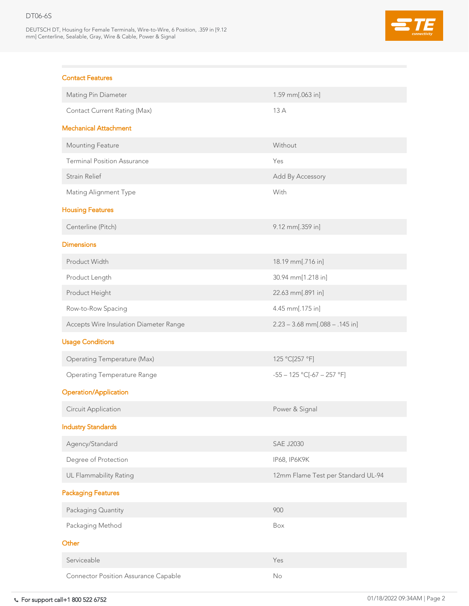DEUTSCH DT, Housing for Female Terminals, Wire-to-Wire, 6 Position, .359 in [9.12 mm] Centerline, Sealable, Gray, Wire & Cable, Power & Signal



### Contact Features

| <b>Mating Pin Diameter</b>             | 1.59 mm $[.063]$ in]               |
|----------------------------------------|------------------------------------|
| <b>Contact Current Rating (Max)</b>    | 13A                                |
| <b>Mechanical Attachment</b>           |                                    |
| <b>Mounting Feature</b>                | Without                            |
| <b>Terminal Position Assurance</b>     | Yes                                |
| <b>Strain Relief</b>                   | Add By Accessory                   |
| <b>Mating Alignment Type</b>           | With                               |
| <b>Housing Features</b>                |                                    |
| Centerline (Pitch)                     | 9.12 mm[.359 in]                   |
| <b>Dimensions</b>                      |                                    |
| Product Width                          | 18.19 mm[.716 in]                  |
| Product Length                         | 30.94 mm[1.218 in]                 |
| Product Height                         | 22.63 mm[.891 in]                  |
| Row-to-Row Spacing                     | 4.45 mm $[.175$ in]                |
| Accepts Wire Insulation Diameter Range | $2.23 - 3.68$ mm[.088 - .145 in]   |
| <b>Usage Conditions</b>                |                                    |
| <b>Operating Temperature (Max)</b>     | 125 °C[257 °F]                     |
| <b>Operating Temperature Range</b>     | $-55 - 125$ °C[ $-67 - 257$ °F]    |
| <b>Operation/Application</b>           |                                    |
| <b>Circuit Application</b>             | Power & Signal                     |
| <b>Industry Standards</b>              |                                    |
| Agency/Standard                        | <b>SAE J2030</b>                   |
| Degree of Protection                   | IP68, IP6K9K                       |
| <b>UL Flammability Rating</b>          | 12mm Flame Test per Standard UL-94 |
| <b>Packaging Features</b>              |                                    |
| Packaging Quantity                     | 900                                |
| Packaging Method                       | Box                                |
| Other                                  |                                    |
| Serviceable                            | Yes                                |
|                                        |                                    |

Connector Position Assurance Capable No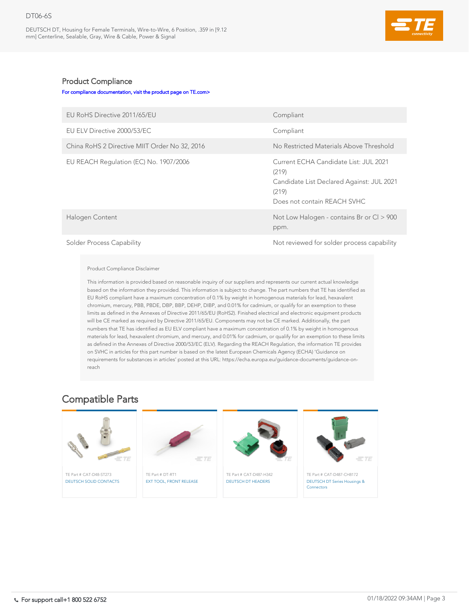DEUTSCH DT, Housing for Female Terminals, Wire-to-Wire, 6 Position, .359 in [9.12 mm] Centerline, Sealable, Gray, Wire & Cable, Power & Signal



### Product Compliance

[For compliance documentation, visit the product page on TE.com>](https://www.te.com/usa-en/product-DT06-6S.html)

| EU RoHS Directive 2011/65/EU                  | Compliant                                                                                                                           |
|-----------------------------------------------|-------------------------------------------------------------------------------------------------------------------------------------|
| EU ELV Directive 2000/53/EC                   | Compliant                                                                                                                           |
| China RoHS 2 Directive MIIT Order No 32, 2016 | No Restricted Materials Above Threshold                                                                                             |
| EU REACH Regulation (EC) No. 1907/2006        | Current ECHA Candidate List: JUL 2021<br>(219)<br>Candidate List Declared Against: JUL 2021<br>(219)<br>Does not contain REACH SVHC |
| Halogen Content                               | Not Low Halogen - contains Br or Cl > 900<br>ppm.                                                                                   |
| Solder Process Canability                     | Not reviewed for solder process capability                                                                                          |

Solder Process Capability Not reviewed for solder process capability

#### Product Compliance Disclaimer

This information is provided based on reasonable inquiry of our suppliers and represents our current actual knowledge based on the information they provided. This information is subject to change. The part numbers that TE has identified as EU RoHS compliant have a maximum concentration of 0.1% by weight in homogenous materials for lead, hexavalent chromium, mercury, PBB, PBDE, DBP, BBP, DEHP, DIBP, and 0.01% for cadmium, or qualify for an exemption to these limits as defined in the Annexes of Directive 2011/65/EU (RoHS2). Finished electrical and electronic equipment products will be CE marked as required by Directive 2011/65/EU. Components may not be CE marked. Additionally, the part numbers that TE has identified as EU ELV compliant have a maximum concentration of 0.1% by weight in homogenous materials for lead, hexavalent chromium, and mercury, and 0.01% for cadmium, or qualify for an exemption to these limits as defined in the Annexes of Directive 2000/53/EC (ELV). Regarding the REACH Regulation, the information TE provides on SVHC in articles for this part number is based on the latest European Chemicals Agency (ECHA) 'Guidance on requirements for substances in articles' posted at this URL: https://echa.europa.eu/guidance-documents/guidance-onreach



### Compatible Parts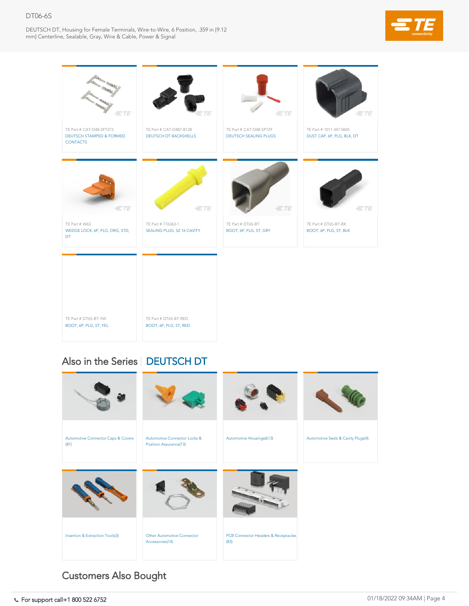DEUTSCH DT, Housing for Female Terminals, Wire-to-Wire, 6 Position, .359 in [9.12 mm] Centerline, Sealable, Gray, Wire & Cable, Power & Signal







TE Part # DT6S-BT-RED [BOOT, 6P, PLG, ST, RED](https://www.te.com/usa-en/product-DT6S-BT-RED.html)

## Also in the Series | [DEUTSCH DT](https://www.te.com/usa-en/plp/X25oK.html)

TE Part # DT6S-BT-YW [BOOT, 6P, PLG, ST, YEL](https://www.te.com/usa-en/product-DT6S-BT-YW.html)



# Customers Also Bought

Comport call+1 800 522 6752 6752 69:34 AM | Page 4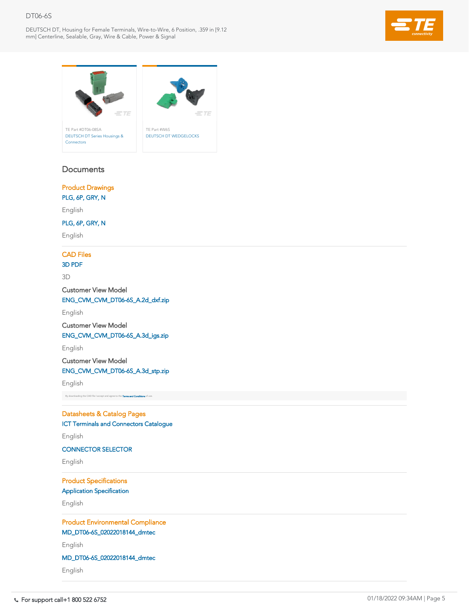DEUTSCH DT, Housing for Female Terminals, Wire-to-Wire, 6 Position, .359 in [9.12 mm] Centerline, Sealable, Gray, Wire & Cable, Power & Signal





### **Documents**



English

### CAD Files

### [3D PDF](https://www.te.com/commerce/DocumentDelivery/DDEController?Action=showdoc&DocId=Customer+View+Model%7FCVM_DT06-6S%7FA%7Fpdf%7F3D%7F3D_CVM_CVM_DT06-6S_A.pdf%7FDT06-6S)

3D

Customer View Model

[ENG\\_CVM\\_CVM\\_DT06-6S\\_A.2d\\_dxf.zip](https://www.te.com/commerce/DocumentDelivery/DDEController?Action=showdoc&DocId=Customer+View+Model%7FCVM_DT06-6S%7FA%7F2d_dxf.zip%7FEnglish%7FENG_CVM_CVM_DT06-6S_A.2d_dxf.zip%7FDT06-6S)

English

Customer View Model [ENG\\_CVM\\_CVM\\_DT06-6S\\_A.3d\\_igs.zip](https://www.te.com/commerce/DocumentDelivery/DDEController?Action=showdoc&DocId=Customer+View+Model%7FCVM_DT06-6S%7FA%7F3d_igs.zip%7FEnglish%7FENG_CVM_CVM_DT06-6S_A.3d_igs.zip%7FDT06-6S)

English

Customer View Model [ENG\\_CVM\\_CVM\\_DT06-6S\\_A.3d\\_stp.zip](https://www.te.com/commerce/DocumentDelivery/DDEController?Action=showdoc&DocId=Customer+View+Model%7FCVM_DT06-6S%7FA%7F3d_stp.zip%7FEnglish%7FENG_CVM_CVM_DT06-6S_A.3d_stp.zip%7FDT06-6S)

English

By downloading the CAD file I accept and agree to the [Terms and Conditions](https://www.te.com/usa-en/policies-agreements/terms-of-use-te-com.html) of use.

Datasheets & Catalog Pages

[ICT Terminals and Connectors Catalogue](https://www.te.com/commerce/DocumentDelivery/DDEController?Action=showdoc&DocId=Data+Sheet%7F1-1773950-7%7FA%7Fpdf%7FEnglish%7FENG_DS_1-1773950-7_A.pdf%7FDT06-6S)

English

[CONNECTOR SELECTOR](https://www.te.com/commerce/DocumentDelivery/DDEController?Action=showdoc&DocId=Data+Sheet%7F1-1773962-8%7FA%7Fpdf%7FEnglish%7FENG_DS_1-1773962-8_A.pdf%7FDT06-6S)

English

Product Specifications [Application Specification](https://www.te.com/commerce/DocumentDelivery/DDEController?Action=showdoc&DocId=Specification+Or+Standard%7F114-151009%7FB%7Fpdf%7FEnglish%7FENG_SS_114-151009_B.pdf%7FDT06-6S)

English

Product Environmental Compliance [MD\\_DT06-6S\\_02022018144\\_dmtec](https://www.te.com/commerce/DocumentDelivery/DDEController?Action=showdoc&DocId=Product+Compliance%7FMD_DT06-6S%7FK%7Fxlsx%7FEnglish%7FENG_PC_MD_DT06-6S_K%28860526%29.xlsx%7FDT06-6S)

English

[MD\\_DT06-6S\\_02022018144\\_dmtec](https://www.te.com/commerce/DocumentDelivery/DDEController?Action=showdoc&DocId=Product+Compliance%7FMD_DT06-6S%7FK%7Fxml%7FEnglish%7FENG_PC_MD_DT06-6S_K%28327529%29.xml%7FDT06-6S)

English